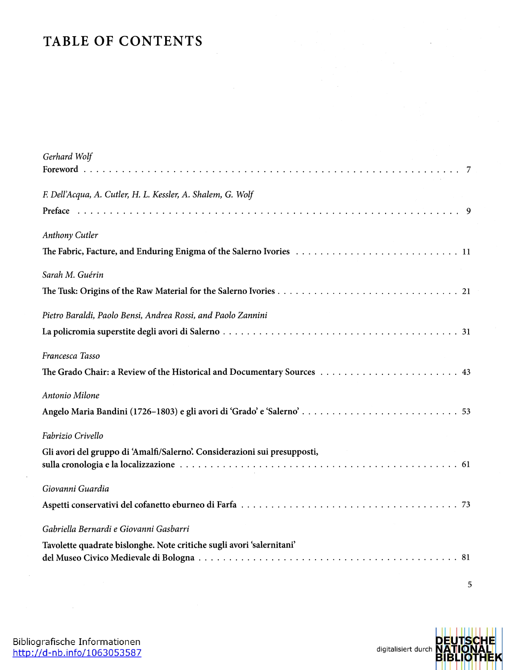## **TABLE OF CONTENTS**

| Gerhard Wolf                                                              |
|---------------------------------------------------------------------------|
|                                                                           |
| F. Dell'Acqua, A. Cutler, H. L. Kessler, A. Shalem, G. Wolf               |
|                                                                           |
| <b>Anthony Cutler</b>                                                     |
| The Fabric, Facture, and Enduring Enigma of the Salerno Ivories  11       |
| Sarah M. Guérin                                                           |
|                                                                           |
| Pietro Baraldi, Paolo Bensi, Andrea Rossi, and Paolo Zannini              |
|                                                                           |
| Francesca Tasso                                                           |
|                                                                           |
| Antonio Milone                                                            |
|                                                                           |
| Fabrizio Crivello                                                         |
| Gli avori del gruppo di 'Amalfi/Salerno'. Considerazioni sui presupposti, |
| Giovanni Guardia                                                          |
|                                                                           |
| Gabriella Bernardi e Giovanni Gasbarri                                    |
| Tavolette quadrate bislonghe. Note critiche sugli avori 'salernitani'     |



5